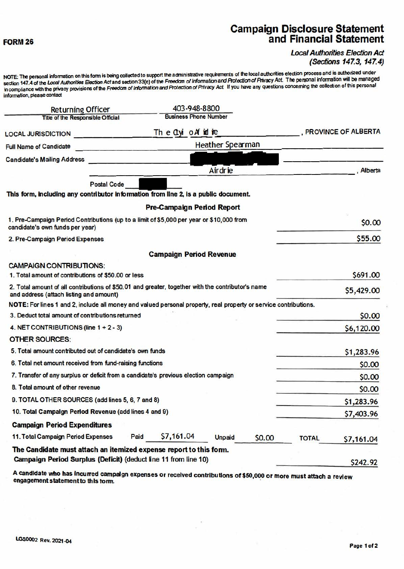#### **FORM 26**

S,

# **Campaign Disclosure Statement<br>and Financial Statement**

#### **Local Authorities Election Act** (Sections 147.3, 147.4)

NOTE: The personal information on this form is being collected to support the administrative requirements of the local authorities election process and is authorized under section 147.4 of the Local Authorities Election Act and section 33(c) of the Freedom of Information and Protection of Privacy Act. The personal information will be managed in compliance with the privacy provisions of the Freedom of Information and Protection of Privacy Act. If you have any questions concerning the collection of this personal information, please contact

| <b>Returning Officer</b>                                                                                                                     |                                                                | 403-948-8800                      |               |        |              |                                  |
|----------------------------------------------------------------------------------------------------------------------------------------------|----------------------------------------------------------------|-----------------------------------|---------------|--------|--------------|----------------------------------|
| <b>Title of the Responsible Official</b>                                                                                                     |                                                                | <b>Business Phone Number</b>      |               |        |              |                                  |
| <b>LOCAL JURISDICTION</b>                                                                                                                    | The Ctyl of id ine                                             |                                   |               |        |              | , PROVINCE OF ALBERTA            |
| <b>Full Name of Candidate</b>                                                                                                                | <b>Heather Spearman</b><br>A POSTAGE AND CONTRACTOR CONTRACTOR |                                   |               |        |              |                                  |
| <b>Candidate's Mailing Address</b>                                                                                                           |                                                                |                                   |               |        |              |                                  |
|                                                                                                                                              |                                                                |                                   | Airdrie       |        |              | . Alberta                        |
| <b>Postal Code</b>                                                                                                                           |                                                                |                                   |               |        |              |                                  |
| This form, including any contributor information from line 2, is a public document.                                                          |                                                                |                                   |               |        |              |                                  |
|                                                                                                                                              |                                                                | <b>Pre-Campaign Period Report</b> |               |        |              |                                  |
| 1. Pre-Campaign Period Contributions (up to a limit of \$5,000 per year or \$10,000 from<br>candidate's own funds per year)                  |                                                                |                                   |               |        |              | \$0.00                           |
| 2. Pre-Campaign Period Expenses                                                                                                              |                                                                |                                   |               |        |              | \$55.00                          |
|                                                                                                                                              |                                                                | <b>Campaign Period Revenue</b>    |               |        |              |                                  |
| <b>CAMPAIGN CONTRIBUTIONS:</b>                                                                                                               |                                                                |                                   |               |        |              |                                  |
| 1. Total amount of contributions of \$50.00 or less                                                                                          |                                                                |                                   |               |        |              | \$691.00                         |
| 2. Total amount of all contributions of \$50.01 and greater, together with the contributor's name<br>and address (attach listing and amount) |                                                                |                                   |               |        |              | \$5,429.00                       |
| NOTE: For lines 1 and 2, include all money and valued personal property, real property or service contributions.                             |                                                                |                                   |               |        |              |                                  |
| 3. Deduct total amount of contributions returned                                                                                             |                                                                |                                   |               |        |              | \$0.00                           |
| 4. NET CONTRIBUTIONS (line $1 + 2 - 3$ )                                                                                                     |                                                                |                                   |               |        |              | \$6,120.00                       |
| <b>OTHER SOURCES:</b>                                                                                                                        |                                                                |                                   |               |        |              |                                  |
| 5. Total amount contributed out of candidate's own funds                                                                                     |                                                                |                                   |               |        |              | \$1,283.96                       |
| 6. Total net amount received from fund-raising functions                                                                                     |                                                                |                                   |               |        |              | \$0.00                           |
| 7. Transfer of any surplus or deficit from a candidate's previous election campaign                                                          |                                                                |                                   |               |        |              | \$0.00                           |
| 8. Total amount of other revenue                                                                                                             |                                                                |                                   |               |        |              | \$0.00                           |
| 9. TOTAL OTHER SOURCES (add lines 5, 6, 7 and 8)                                                                                             |                                                                |                                   |               |        |              | \$1,283.96                       |
| 10. Total Campaign Period Revenue (add lines 4 and 9)                                                                                        |                                                                |                                   |               |        |              | \$7,403.96                       |
| <b>Campaign Period Expenditures</b>                                                                                                          |                                                                |                                   |               |        |              |                                  |
| 11. Total Campaign Period Expenses                                                                                                           | Paid                                                           | \$7,161.04                        | <b>Unpaid</b> | \$0.00 | <b>TOTAL</b> | \$7,161.04                       |
| The Candidate must attach an itemized expense report to this form.                                                                           |                                                                |                                   |               |        |              |                                  |
| Campaign Period Surplus (Deficit) (deduct line 11 from line 10)                                                                              |                                                                |                                   |               |        |              | S <sub>242</sub> .9 <sub>2</sub> |

A candidate who has incurred campaign expenses or received contributions of \$50,000 or more must attach a review engagement statement to this form.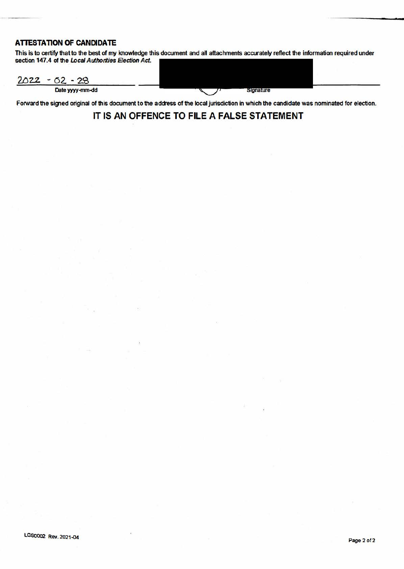### **ATTESTATION OF CANDIDATE**

This is to certify that to the best of my knowledge this document and all attachments accurately reflect the information required under section 147.4 of the Local Authorities Election Act.

 $2022 - 02 - 28$ Date yyyy-mm-dd **Signature** 

Forward the signed original of this document to the address of the local jurisdiction in which the candidate was nominated for election.

## IT IS **AN OFFENCE TO FILE A FALSE STATEMENT**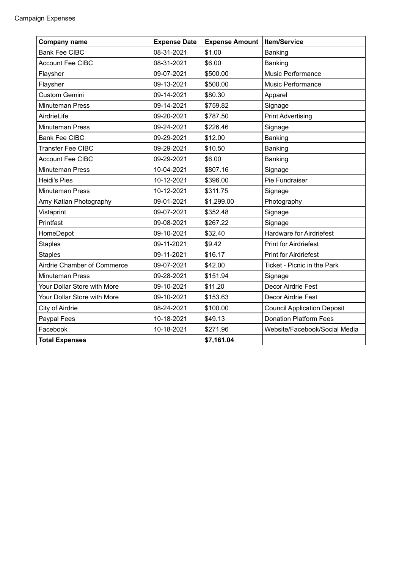| <b>Company name</b>         | <b>Expense Date</b> | <b>Expense Amount</b> | <b>Item/Service</b>                |
|-----------------------------|---------------------|-----------------------|------------------------------------|
| <b>Bank Fee CIBC</b>        | 08-31-2021          | \$1.00                | Banking                            |
| <b>Account Fee CIBC</b>     | 08-31-2021          | \$6.00                | Banking                            |
| Flaysher                    | 09-07-2021          | \$500.00              | <b>Music Performance</b>           |
| Flaysher                    | 09-13-2021          | \$500.00              | <b>Music Performance</b>           |
| <b>Custom Gemini</b>        | 09-14-2021          | \$80.30               | Apparel                            |
| <b>Minuteman Press</b>      | 09-14-2021          | \$759.82              | Signage                            |
| AirdrieLife                 | 09-20-2021          | \$787.50              | <b>Print Advertising</b>           |
| <b>Minuteman Press</b>      | 09-24-2021          | \$226.46              | Signage                            |
| <b>Bank Fee CIBC</b>        | 09-29-2021          | \$12.00               | Banking                            |
| <b>Transfer Fee CIBC</b>    | 09-29-2021          | \$10.50               | Banking                            |
| <b>Account Fee CIBC</b>     | 09-29-2021          | \$6.00                | Banking                            |
| Minuteman Press             | 10-04-2021          | \$807.16              | Signage                            |
| <b>Heidi's Pies</b>         | 10-12-2021          | \$396.00              | Pie Fundraiser                     |
| <b>Minuteman Press</b>      | 10-12-2021          | \$311.75              | Signage                            |
| Amy Katlan Photography      | 09-01-2021          | \$1,299.00            | Photography                        |
| Vistaprint                  | 09-07-2021          | \$352.48              | Signage                            |
| Printfast                   | 09-08-2021          | \$267.22              | Signage                            |
| HomeDepot                   | 09-10-2021          | \$32.40               | <b>Hardware for Airdriefest</b>    |
| <b>Staples</b>              | 09-11-2021          | \$9.42                | <b>Print for Airdriefest</b>       |
| <b>Staples</b>              | 09-11-2021          | \$16.17               | <b>Print for Airdriefest</b>       |
| Airdrie Chamber of Commerce | 09-07-2021          | \$42.00               | Ticket - Picnic in the Park        |
| <b>Minuteman Press</b>      | 09-28-2021          | \$151.94              | Signage                            |
| Your Dollar Store with More | 09-10-2021          | \$11.20               | Decor Airdrie Fest                 |
| Your Dollar Store with More | 09-10-2021          | \$153.63              | Decor Airdrie Fest                 |
| City of Airdrie             | 08-24-2021          | \$100.00              | <b>Council Application Deposit</b> |
| Paypal Fees                 | 10-18-2021          | \$49.13               | <b>Donation Platform Fees</b>      |
| Facebook                    | 10-18-2021          | \$271.96              | Website/Facebook/Social Media      |
| <b>Total Expenses</b>       |                     | \$7,161.04            |                                    |